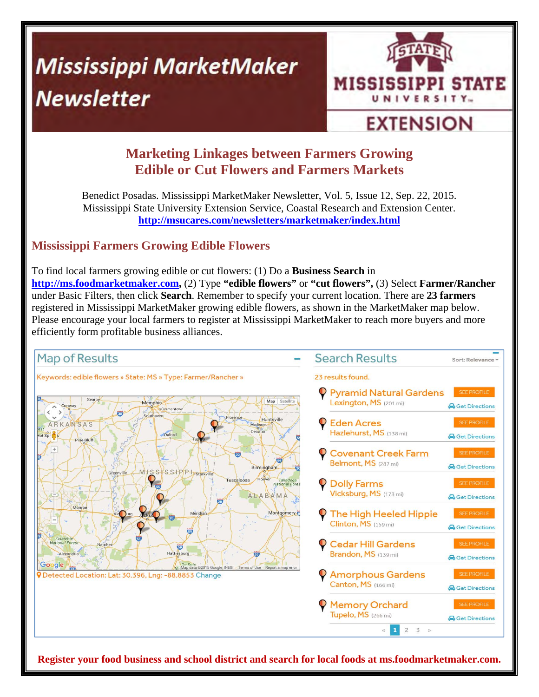# **Mississippi MarketMaker Newsletter**



## **EXTENSION**

### **Marketing Linkages between Farmers Growing Edible or Cut Flowers and Farmers Markets**

Benedict Posadas. Mississippi MarketMaker Newsletter, Vol. 5, Issue 12, Sep. 22, 2015. Mississippi State University Extension Service, Coastal Research and Extension Center. **http://msucares.com/newsletters/marketmaker/index.html**

#### **Mississippi Farmers Growing Edible Flowers**

To find local farmers growing edible or cut flowers: (1) Do a **Business Search** in **http://ms.foodmarketmaker.com,** (2) Type **"edible flowers"** or **"cut flowers",** (3) Select **Farmer/Rancher**  under Basic Filters, then click **Search**. Remember to specify your current location. There are **23 farmers**  registered in Mississippi MarketMaker growing edible flowers, as shown in the MarketMaker map below. Please encourage your local farmers to register at Mississippi MarketMaker to reach more buyers and more efficiently form profitable business alliances.